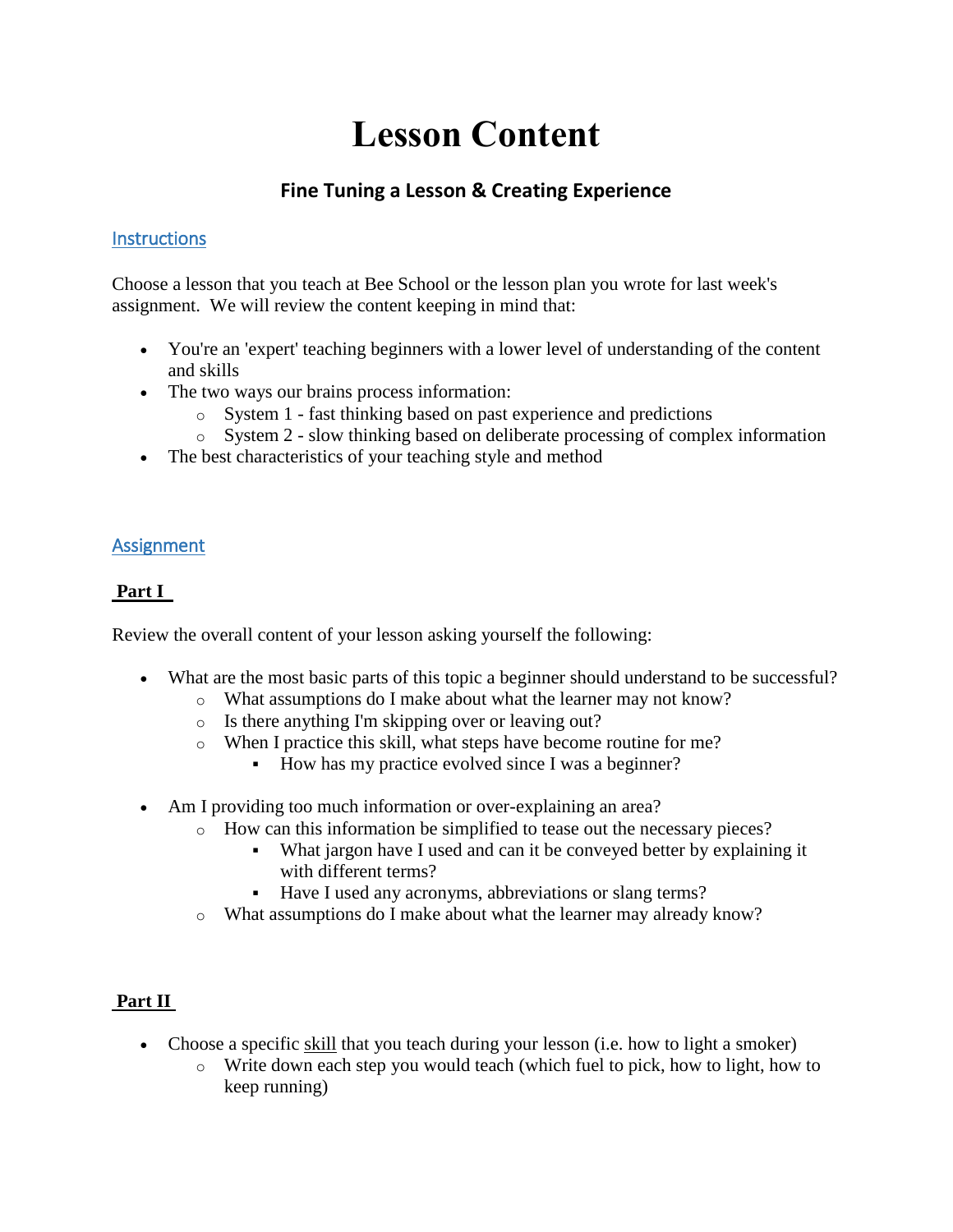# **Lesson Content**

## **Fine Tuning a Lesson & Creating Experience**

### **Instructions**

Choose a lesson that you teach at Bee School or the lesson plan you wrote for last week's assignment. We will review the content keeping in mind that:

- You're an 'expert' teaching beginners with a lower level of understanding of the content and skills
- The two ways our brains process information:
	- o System 1 fast thinking based on past experience and predictions
	- o System 2 slow thinking based on deliberate processing of complex information
- The best characteristics of your teaching style and method

#### Assignment

#### **Part I**

Review the overall content of your lesson asking yourself the following:

- What are the most basic parts of this topic a beginner should understand to be successful?
	- o What assumptions do I make about what the learner may not know?
	- o Is there anything I'm skipping over or leaving out?
	- o When I practice this skill, what steps have become routine for me?
		- How has my practice evolved since I was a beginner?
- Am I providing too much information or over-explaining an area?
	- o How can this information be simplified to tease out the necessary pieces?
		- What jargon have I used and can it be conveyed better by explaining it with different terms?
		- Have I used any acronyms, abbreviations or slang terms?
	- o What assumptions do I make about what the learner may already know?

#### **Part II**

- Choose a specific skill that you teach during your lesson (i.e. how to light a smoker)
	- $\circ$  Write down each step you would teach (which fuel to pick, how to light, how to keep running)